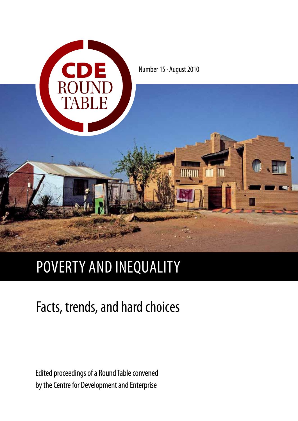

# poverty and inequality

# Facts, trends, and hard choices

Edited proceedings of a Round Table convened by the Centre for Development and Enterprise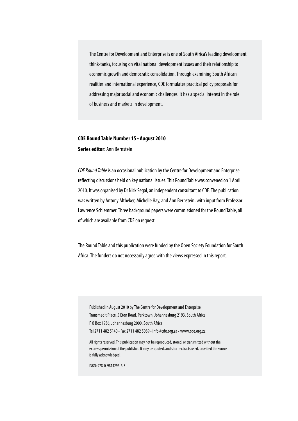The Centre for Development and Enterprise is one of South Africa's leading development think-tanks, focusing on vital national development issues and their relationship to economic growth and democratic consolidation. Through examining South African realities and international experience, CDE formulates practical policy proposals for addressing major social and economic challenges. It has a special interest in the role of business and markets in development.

# **CDE Round Table Number 15 • August 2010**

**Series editor**: Ann Bernstein

*CDE Round Table* is an occasional publication by the Centre for Development and Enterprise reflecting discussions held on key national issues. This Round Table was convened on 1 April 2010. It was organised by Dr Nick Segal, an independent consultant to CDE. The publication was written by Antony Altbeker, Michelle Hay, and Ann Bernstein, with input from Professor Lawrence Schlemmer. Three background papers were commissioned for the Round Table, all of which are available from CDE on request.

The Round Table and this publication were funded by the Open Society Foundation for South Africa. The funders do not necessarily agree with the views expressed in this report.

Published in August 2010 by The Centre for Development and Enterprise Transmedit Place, 5 Eton Road, Parktown, Johannesburg 2193, South Africa P O Box 1936, Johannesburg 2000, South Africa Tel 2711 482 5140 • Fax 2711 482 5089 • info@cde.org.za • www.cde.org.za

All rights reserved. This publication may not be reproduced, stored, or transmitted without the express permission of the publisher. It may be quoted, and short extracts used, provided the source is fully acknowledged.

ISBN: 978-0-9814296-6-3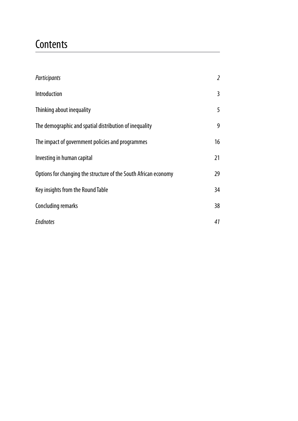# **Contents**

| Participants                                                    | 2  |
|-----------------------------------------------------------------|----|
| Introduction                                                    | 3  |
| Thinking about inequality                                       | 5  |
| The demographic and spatial distribution of inequality          | 9  |
| The impact of government policies and programmes                | 16 |
| Investing in human capital                                      | 21 |
| Options for changing the structure of the South African economy | 29 |
| Key insights from the Round Table                               | 34 |
| Concluding remarks                                              | 38 |
| <b>Endnotes</b>                                                 | 41 |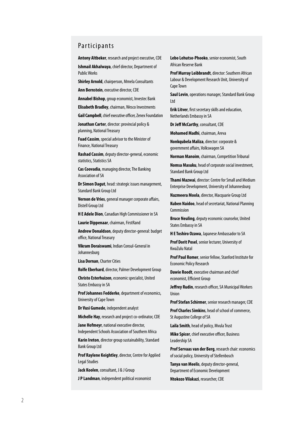#### Participants

**Antony Altbeker**, research and project executive, CDE

**Ishmail Akhalwaya**, chief director, Department of Public Works

**Shirley Arnold**, chairperson, Mmela Consultants

**Ann Bernstein**, executive director, CDE

**Annabel Bishop**, group economist, Investec Bank

**Elisabeth Bradley**, chairman, Wesco Investments

**Gail Campbell**, chief executive officer, Zenex Foundation

**Jonathan Carter**, director: provincial policy & planning, National Treasury

**Fuad Cassim**, special advisor to the Minister of Finance, National Treasury

**Rashad Cassim**, deputy director-general, economic statistics, Statistics S A

**Cas Coovadia**, managing director, The Banking Association of S A

**Dr Simon Dagut**, head: strategic issues management, Standard Bank Group Ltd

**Vernon de Vries**, general manager corporate affairs, Distell Group Ltd

**H E Adele Dion**, Canadian High Commissioner in S A

**Laurie Dippenaar**, chairman, First Rand

**Andrew Donaldson**, deputy director-general: budget office, National Treasury

**Vikram Doraiswami**, Indian Consul-General in Johannesburg

**Lisa Dornan**, Charter Cities

**Rolfe Eberhard**, director, Palmer Development Group

**Christo Esterhuizen**, economic specialist, United States Embassy in S A

**Prof Johannes Fedderke**, department of economics, University of Cape Town

**Dr Vusi Gumede**, independent analyst

**Michelle Hay**, research and project co-ordinator, CDE

**Jane Hofmeyr**, national executive director,<br>Independent Schools Association of Southern Africa

**Karin Ireton**, director group sustainability, Standard Bank Group Ltd

**Prof Raylene Keightley**, director, Centre for Applied Legal Studies

**Jack Koolen**, consultant, J & J Group

**J P Landman**, independent political economist

**Lebo Lehutso-Phooko**, senior economist, South African Reserve Bank

**Prof Murray Leibbrandt**, director: Southern African Labour & Development Research Unit, University of Cape Town

**Saul Levin**, operations manager, Standard Bank Group Ltd

**Erik Litver**, first secretary skills and education, Netherlands Embassy in SA

**Dr Jeff McCarthy**, consultant, CDE

**Mohamed Madhi**, chairman, Areva

**Nonkqubela Maliza**, director: corporate & government affairs, Volkswagen S A

**Norman Manoim**, chairman, Competition Tribunal

**Nomsa Masuku**, head of corporate social investment, Standard Bank Group Ltd

**Thami Mazwai**, director: Centre for Small and Medium Enterprise Development, University of Johannesburg

**Nazmeera Moola**, director, Macquarie Group Ltd

**Kuben Naidoo**, head of secretariat, National Planning Commission

Bruce Neuling, deputy economic counselor, United States Embassy in S A

**H E Toshiro Ozawa**, Japanese Ambassador to S A

Prof Dorit Posel, senior lecturer, University of KwaZulu Natal

Prof Paul Romer, senior fellow, Stanford Institute for Economic Policy Research

**Dawie Roodt**, executive chairman and chief economist, Efficient Group

**Jeffrey Rudin**, research officer, S A Municipal Workers Union

**Prof Stefan Schirmer**, senior research manager, CDE

**Prof Charles Simkins**, head of school of commerce, St Augustine College of S A

Laila Smith, head of policy, Mvula Trust

**Mike Spicer**, chief executive officer, Business Leadership SA

**Prof Servaas van der Berg**, research chair: economics of social policy, University of Stellenbosch

**Tanya van Meelis**, deputy director-general, Department of Economic Development

**Ntokozo Vilakazi**, researcher, CDE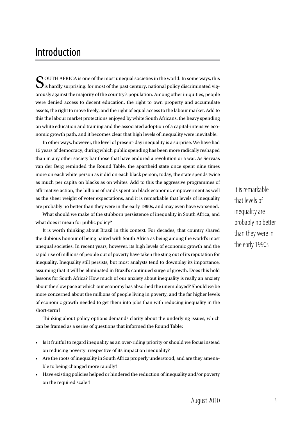# Introduction

OUTH AFRICA is one of the most unequal societies in the world. In some ways, this  $\bigcup$  is hardly surprising: for most of the past century, national policy discriminated vigorously against the majority of the country's population. Among other iniquities, people were denied access to decent education, the right to own property and accumulate assets, the right to move freely, and the right of equal access to the labour market. Add to this the labour market protections enjoyed by white South Africans, the heavy spending on white education and training and the associated adoption of a capital-intensive economic growth path, and it becomes clear that high levels of inequality were inevitable.

In other ways, however, the level of present-day inequality is a surprise. We have had 15 years of democracy, during which public spending has been more radically reshaped than in any other society bar those that have endured a revolution or a war. As Servaas van der Berg reminded the Round Table, the apartheid state once spent nine times more on each white person as it did on each black person; today, the state spends twice as much per capita on blacks as on whites. Add to this the aggressive programmes of affirmative action, the billions of rands spent on black economic empowerment as well as the sheer weight of voter expectations, and it is remarkable that levels of inequality are probably no better than they were in the early 1990s, and may even have worsened.

What should we make of the stubborn persistence of inequality in South Africa, and what does it mean for public policy?

It is worth thinking about Brazil in this context. For decades, that country shared the dubious honour of being paired with South Africa as being among the world's most unequal societies. In recent years, however, its high levels of economic growth and the rapid rise of millions of people out of poverty have taken the sting out of its reputation for inequality. Inequality still persists, but most analysts tend to downplay its importance, assuming that it will be eliminated in Brazil's continued surge of growth. Does this hold lessons for South Africa? How much of our anxiety about inequality is really an anxiety about the slow pace at which our economy has absorbed the unemployed? Should we be more concerned about the millions of people living in poverty, and the far higher levels of economic growth needed to get them into jobs than with reducing inequality in the short-term?

Thinking about policy options demands clarity about the underlying issues, which can be framed as a series of questions that informed the Round Table:

- Is it fruitful to regard inequality as an over-riding priority or should we focus instead on reducing poverty irrespective of its impact on inequality?
- Are the roots of inequality in South Africa properly understood, and are they amenable to being changed more rapidly?
- Have existing policies helped or hindered the reduction of inequality and/or poverty on the required scale ?

It is remarkable that levels of inequality are probably no better than they were in the early 1990s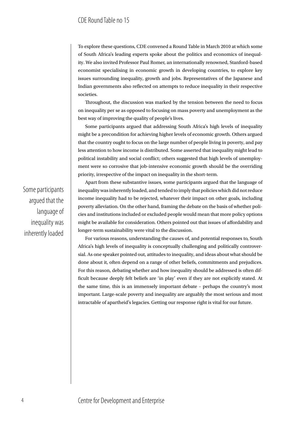To explore these questions, CDE convened a Round Table in March 2010 at which some of South Africa's leading experts spoke about the politics and economics of inequality. We also invited Professor Paul Romer, an internationally renowned, Stanford-based economist specialising in economic growth in developing countries, to explore key issues surrounding inequality, growth and jobs. Representatives of the Japanese and Indian governments also reflected on attempts to reduce inequality in their respective societies.

Throughout, the discussion was marked by the tension between the need to focus on inequality per se as opposed to focusing on mass poverty and unemployment as the best way of improving the quality of people's lives.

Some participants argued that addressing South Africa's high levels of inequality might be a precondition for achieving higher levels of economic growth. Others argued that the country ought to focus on the large number of people living in poverty, and pay less attention to how income is distributed. Some asserted that inequality might lead to political instability and social conflict; others suggested that high levels of unemployment were so corrosive that job-intensive economic growth should be the overriding priority, irrespective of the impact on inequality in the short-term.

Some participants argued that the language of inequality was inherently loaded

Apart from these substantive issues, some participants argued that the language of inequality was inherently loaded, and tended to imply that policies which did not reduce income inequality had to be rejected, whatever their impact on other goals, including poverty alleviation. On the other hand, framing the debate on the basis of whether policies and institutions included or excluded people would mean that more policy options might be available for consideration. Others pointed out that issues of affordability and longer-term sustainability were vital to the discussion.

For various reasons, understanding the causes of, and potential responses to, South Africa's high levels of inequality is conceptually challenging and politically controversial. As one speaker pointed out, attitudes to inequality, and ideas about what should be done about it, often depend on a range of other beliefs, commitments and prejudices. For this reason, debating whether and how inequality should be addressed is often difficult because deeply felt beliefs are 'in play' even if they are not explicitly stated. At the same time, this is an immensely important debate – perhaps the country's most important. Large-scale poverty and inequality are arguably the most serious and most intractable of apartheid's legacies. Getting our response right is vital for our future.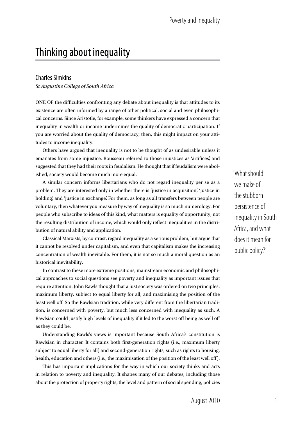# Thinking about inequality

#### Charles Simkins

*St Augustine College of South Africa*

ONE OF the difficulties confronting any debate about inequality is that attitudes to its existence are often informed by a range of other political, social and even philosophical concerns. Since Aristotle, for example, some thinkers have expressed a concern that inequality in wealth or income undermines the quality of democratic participation. If you are worried about the quality of democracy, then, this might impact on your attitudes to income inequality.

Others have argued that inequality is not to be thought of as undesirable unless it emanates from some injustice. Rousseau referred to those injustices as 'artifices', and suggested that they had their roots in feudalism. He thought that if feudalism were abolished, society would become much more equal.

A similar concern informs libertarians who do not regard inequality per se as a problem. They are interested only in whether there is 'justice in acquisition', 'justice in holding', and 'justice in exchange'. For them, as long as all transfers between people are voluntary, then whatever you measure by way of inequality is so much numerology. For people who subscribe to ideas of this kind, what matters is equality of opportunity, not the resulting distribution of income, which would only reflect inequalities in the distribution of natural ability and application.

Classical Marxists, by contrast, regard inequality as a serious problem, but argue that it cannot be resolved under capitalism, and even that capitalism makes the increasing concentration of wealth inevitable. For them, it is not so much a moral question as an historical inevitability.

In contrast to these more extreme positions, mainstream economic and philosophical approaches to social questions see poverty and inequality as important issues that require attention. John Rawls thought that a just society was ordered on two principles: maximum liberty, subject to equal liberty for all; and maximising the position of the least well off. So the Rawlsian tradition, while very different from the libertarian tradition, is concerned with poverty, but much less concerned with inequality as such. A Rawlsian could justify high levels of inequality if it led to the worst off being as well off as they could be.

Understanding Rawls's views is important because South Africa's constitution is Rawlsian in character. It contains both first-generation rights (i.e., maximum liberty subject to equal liberty for all) and second-generation rights, such as rights to housing, health, education and others (i.e., the maximisation of the position of the least well off).

This has important implications for the way in which our society thinks and acts in relation to poverty and inequality. It shapes many of our debates, including those about the protection of property rights; the level and pattern of social spending; policies 'What should we make of the stubborn persistence of inequality in South Africa, and what does it mean for public policy?'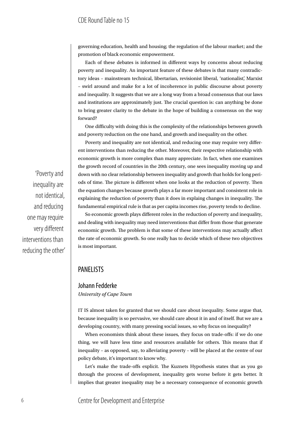governing education, health and housing; the regulation of the labour market; and the promotion of black economic empowerment.

Each of these debates is informed in different ways by concerns about reducing poverty and inequality. An important feature of these debates is that many contradictory ideas – mainstream technical, libertarian, revisionist liberal, 'nationalist', Marxist – swirl around and make for a lot of incoherence in public discourse about poverty and inequality. It suggests that we are a long way from a broad consensus that our laws and institutions are approximately just. The crucial question is: can anything be done to bring greater clarity to the debate in the hope of building a consensus on the way forward?

One difficulty with doing this is the complexity of the relationships between growth and poverty reduction on the one hand, and growth and inequality on the other.

Poverty and inequality are not identical, and reducing one may require very different interventions than reducing the other. Moreover, their respective relationship with economic growth is more complex than many appreciate. In fact, when one examines the growth record of countries in the 20th century, one sees inequality moving up and down with no clear relationship between inequality and growth that holds for long periods of time. The picture is different when one looks at the reduction of poverty. Then the equation changes because growth plays a far more important and consistent role in explaining the reduction of poverty than it does in explaing changes in inequality. The fundamental empirical rule is that as per capita incomes rise, poverty tends to decline.

So economic growth plays different roles in the reduction of poverty and inequality, and dealing with inequality may need interventions that differ from those that generate economic growth. The problem is that some of these interventions may actually affect the rate of economic growth. So one really has to decide which of these two objectives is most important.

#### PANELISTS

#### Johann Fedderke *University of Cape Town*

IT IS almost taken for granted that we should care about inequality. Some argue that, because inequality is so pervasive, we should care about it in and of itself. But we are a developing country, with many pressing social issues, so why focus on inequality?

When economists think about these issues, they focus on trade-offs: if we do one thing, we will have less time and resources available for others. This means that if inequality – as opposed, say, to alleviating poverty – will be placed at the centre of our policy debate, it's important to know why.

Let's make the trade-offs explicit. The Kuznets Hypothesis states that as you go through the process of development, inequality gets worse before it gets better. It implies that greater inequality may be a necessary consequence of economic growth

'Poverty and inequality are not identical, and reducing one may require very different interventions than reducing the other'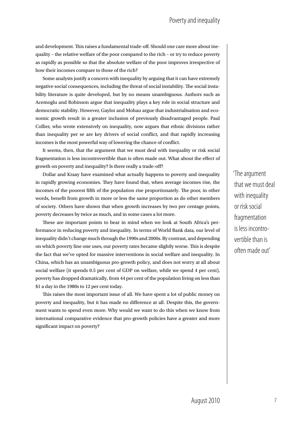and development. This raises a fundamental trade-off. Should one care more about inequality – the relative welfare of the poor compared to the rich – or try to reduce poverty as rapidly as possible so that the absolute welfare of the poor improves irrespective of how their incomes compare to those of the rich?

Some analysts justify a concern with inequality by arguing that it can have extremely negative social consequences, including the threat of social instability. The social instability literature is quite developed, but by no means unambiguous. Authors such as Acemoglu and Robinson argue that inequality plays a key role in social structure and democratic stability. However, Gaylor and Mohau argue that industrialisation and economic growth result in a greater inclusion of previously disadvantaged people. Paul Collier, who wrote extensively on inequality, now argues that ethnic divisions rather than inequality per se are key drivers of social conflict, and that rapidly increasing incomes is the most powerful way of lowering the chance of conflict.

It seems, then, that the argument that we must deal with inequality or risk social fragmentation is less incontrovertible than is often made out. What about the effect of growth on poverty and inequality? Is there really a trade-off?

Dollar and Kraay have examined what actually happens to poverty and inequality in rapidly growing economies. They have found that, when average incomes rise, the incomes of the poorest fifth of the population rise proportionately. The poor, in other words, benefit from growth in more or less the same proportion as do other members of society. Others have shown that when growth increases by two per centage points, poverty decreases by twice as much, and in some cases a lot more.

These are important points to bear in mind when we look at South Africa's performance in reducing poverty and inequality. In terms of World Bank data, our level of inequality didn't change much through the 1990s and 2000s. By contrast, and depending on which poverty line one uses, our poverty rates became slightly worse. This is despite the fact that we've opted for massive interventions in social welfare and inequality. In China, which has an unambiguous pro-growth policy, and does not worry at all about social welfare (it spends 0.5 per cent of GDP on welfare, while we spend 4 per cent), poverty has dropped dramatically, from 44 per cent of the population living on less than \$1 a day in the 1980s to 12 per cent today.

This raises the most important issue of all. We have spent a lot of public money on poverty and inequality, but it has made no difference at all. Despite this, the government wants to spend even more. Why would we want to do this when we know from international comparative evidence that pro-growth policies have a greater and more significant impact on poverty?

'The argument that we must deal with inequality or risk social fragmentation is less incontrovertible than is often made out'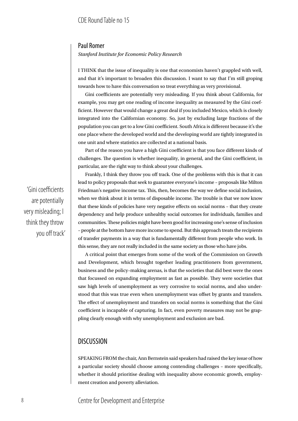#### Paul Romer

*Stanford Institute for Economic Policy Research*

I THINK that the issue of inequality is one that economists haven't grappled with well, and that it's important to broaden this discussion. I want to say that I'm still groping towards how to have this conversation so treat everything as very provisional.

Gini coefficients are potentially very misleading. If you think about California, for example, you may get one reading of income inequality as measured by the Gini coefficient. However that would change a great deal if you included Mexico, which is closely integrated into the Californian economy. So, just by excluding large fractions of the population you can get to a low Gini coefficient. South Africa is different because it's the one place where the developed world and the developing world are tightly integrated in one unit and where statistics are collected at a national basis.

Part of the reason you have a high Gini coefficient is that you face different kinds of challenges. The question is whether inequality, in general, and the Gini coefficient, in particular, are the right way to think about your challenges.

Frankly, I think they throw you off track. One of the problems with this is that it can lead to policy proposals that seek to guarantee everyone's income – proposals like Milton Friedman's negative income tax. This, then, becomes the way we define social inclusion, when we think about it in terms of disposable income. The trouble is that we now know that these kinds of policies have very negative effects on social norms – that they create dependency and help produce unhealthy social outcomes for individuals, families and communities. These policies might have been good for increasing one's sense of inclusion – people at the bottom have more income to spend. But this approach treats the recipients of transfer payments in a way that is fundamentally different from people who work. In this sense, they are not really included in the same society as those who have jobs.

A critical point that emerges from some of the work of the Commission on Growth and Development, which brought together leading practitioners from government, business and the policy–making arenas, is that the societies that did best were the ones that focussed on expanding employment as fast as possible. They were societies that saw high levels of unemployment as very corrosive to social norms, and also understood that this was true even when unemployment was offset by grants and transfers. The effect of unemployment and transfers on social norms is something that the Gini coefficient is incapable of capturing. In fact, even poverty measures may not be grappling clearly enough with why unemployment and exclusion are bad.

### **DISCUSSION**

SPEAKING FROM the chair, Ann Bernstein said speakers had raised the key issue of how a particular society should choose among contending challenges – more specifically, whether it should prioritise dealing with inequality above economic growth, employment creation and poverty alleviation.

'Gini coefficients are potentially very misleading; I think they throw you off track'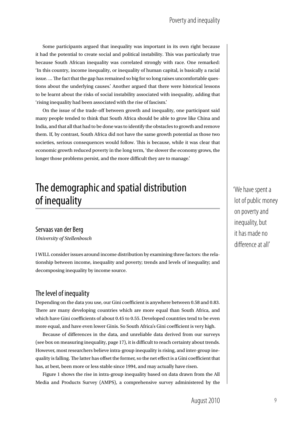Some participants argued that inequality was important in its own right because it had the potential to create social and political instability. This was particularly true because South African inequality was correlated strongly with race. One remarked: 'In this country, income inequality, or inequality of human capital, is basically a racial issue. … The fact that the gap has remained so big for so long raises uncomfortable questions about the underlying causes.' Another argued that there were historical lessons to be learnt about the risks of social instability associated with inequality, adding that 'rising inequality had been associated with the rise of fascism.'

On the issue of the trade-off between growth and inequality, one participant said many people tended to think that South Africa should be able to grow like China and India, and that all that had to be done was to identify the obstacles to growth and remove them. If, by contrast, South Africa did not have the same growth potential as those two societies, serious consequences would follow. This is because, while it was clear that economic growth reduced poverty in the long term, 'the slower the economy grows, the longer those problems persist, and the more difficult they are to manage.'

# The demographic and spatial distribution of inequality

#### Servaas van der Berg

*University of Stellenbosch*

I will consider issues around income distribution by examining three factors: the relationship between income, inequality and poverty; trends and levels of inequality; and decomposing inequality by income source.

### The level of inequality

Depending on the data you use, our Gini coefficient is anywhere between 0.58 and 0.83. There are many developing countries which are more equal than South Africa, and which have Gini coefficients of about 0.45 to 0.55. Developed countries tend to be even more equal, and have even lower Ginis. So South Africa's Gini coefficient is very high.

Because of differences in the data, and unreliable data derived from our surveys (see box on measuring inequality, page 17), it is difficult to reach certainty about trends. However, most researchers believe intra-group inequality is rising, and inter-group inequality is falling. The latter has offset the former, so the net effect is a Gini coefficient that has, at best, been more or less stable since 1994, and may actually have risen.

Figure 1 shows the rise in intra-group inequality based on data drawn from the All Media and Products Survey (AMPS), a comprehensive survey administered by the 'We have spent a lot of public money on poverty and inequality, but it has made no difference at all'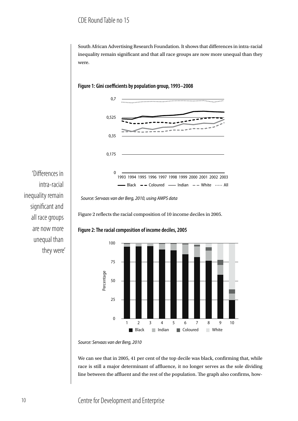# CDE Round Table no 15

South African Advertising Research Foundation. It shows that differences in intra-racial inequality remain significant and that all race groups are now more unequal than they were.



**Figure 1: Gini coefficients by population group, 1993–2008**

intra-racial inequality remain significant and all race groups are now more unequal than they were'

'Differences in

Figure 2 reflects the racial composition of 10 income deciles in 2005.



#### **Figure 2: The racial composition of income deciles, 2005**

*Source: Servaas van der Berg, 2010*

0

25

50

Percentage

75

We can see that in 2005, 41 per cent of the top decile was black, confirming that, while race is still a major determinant of affluence, it no longer serves as the sole dividing line between the affluent and the rest of the population. The graph also confirms, how-

**Black** Indian Coloured White

1 2 3 4 5 6 7 8 9 10

*Source: Servaas van der Berg, 2010, using AMPS data*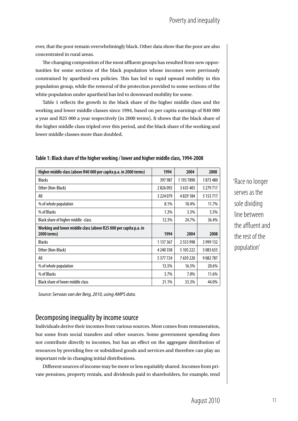ever, that the poor remain overwhelmingly black. Other data show that the poor are also concentrated in rural areas.

The changing composition of the most affluent groups has resulted from new opportunities for some sections of the black population whose incomes were previously constrained by apartheid-era policies. This has led to rapid upward mobility in this population group, while the removal of the protection provided to some sections of the white population under apartheid has led to downward mobility for some.

Table 1 reflects the growth in the black share of the higher middle class and the working and lower middle classes since 1994, based on per capita earnings of R40 000 a year and R25 000 a year respectively (in 2000 terms). It shows that the black share of the higher middle class tripled over this period, and the black share of the working and lower middle classes more than doubled.

| Higher middle class (above R40 000 per capita p.a. in 2000 terms) | 1994          | 2004          | 2008      |
|-------------------------------------------------------------------|---------------|---------------|-----------|
| <b>Blacks</b>                                                     | 397 987       | 1 193 7890    | 1873480   |
| Other (Non-Black)                                                 | 2826092       | 3 635 405     | 3 279 717 |
| All                                                               | 3 2 2 4 0 7 9 | 4829184       | 5 153 717 |
| % of whole population                                             | 8.1%          | 10.4%         | 11.7%     |
| % of Blacks                                                       | 1.3%          | 3.3%          | 5.5%      |
| Black share of higher middle -class                               | 12.3%         | 24.7%         | 36.4%     |
| Working and lower middle class (above R25 000 per capita p.a. in  |               |               |           |
| 2000 terms)                                                       | 1994          | 2004          | 2008      |
| <b>Blacks</b>                                                     | 1 137 367     | 2 5 5 3 9 9 8 | 3 999 132 |
| Other (Non-Black)                                                 | 4 240 358     | 5 105 222     | 5 083 655 |
| All                                                               | 5 377 724     | 7659220       | 9082787   |
| % of whole population                                             | 13.5%         | 16.5%         | 20.6%     |
|                                                                   | 3.7%          | 7.0%          | 11.6%     |
| % of Blacks                                                       |               |               |           |

#### **Table 1: Black share of the higher working / lower and higher middle class, 1994-2008**

*Source: Servaas van der Berg, 2010, using AMPS data.*

#### Decomposing inequality by income source

Individuals derive their incomes from various sources. Most comes from remuneration, but some from social transfers and other sources. Some government spending does not contribute directly to incomes, but has an effect on the aggregate distribution of resources by providing free or subsidised goods and services and therefore can play an important role in changing initial distributions.

Different sources of income may be more or less equitably shared. Incomes from private pensions, property rentals, and dividends paid to shareholders, for example, tend 'Race no longer serves as the sole dividing line between the affluent and the rest of the population'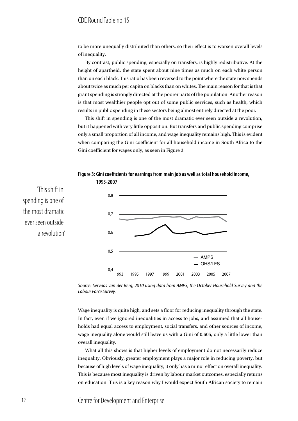to be more unequally distributed than others, so their effect is to worsen overall levels of inequality.

By contrast, public spending, especially on transfers, is highly redistributive. At the height of apartheid, the state spent about nine times as much on each white person than on each black. This ratio has been reversed to the point where the state now spends about twice as much per capita on blacks than on whites. The main reason for that is that grant spending is strongly directed at the poorer parts of the population. Another reason is that most wealthier people opt out of some public services, such as health, which results in public spending in these sectors being almost entirely directed at the poor.

This shift in spending is one of the most dramatic ever seen outside a revolution, but it happened with very little opposition. But transfers and public spending comprise only a small proportion of all income, and wage inequality remains high. This is evident when comparing the Gini coefficient for all household income in South Africa to the Gini coefficient for wages only, as seen in Figure 3.





'This shift in spending is one of the most dramatic ever seen outside a revolution'

> *Source: Servaas van der Berg, 2010 using data from AMPS, the October Household Survey and the Labour Force Survey.*

> Wage inequality is quite high, and sets a floor for reducing inequality through the state. In fact, even if we ignored inequalities in access to jobs, and assumed that all households had equal access to employment, social transfers, and other sources of income, wage inequality alone would still leave us with a Gini of 0.605, only a little lower than overall inequality.

> What all this shows is that higher levels of employment do not necessarily reduce inequality. Obviously, greater employment plays a major role in reducing poverty, but because of high levels of wage inequality, it only has a minor effect on overall inequality. This is because most inequality is driven by labour market outcomes, especially returns on education. This is a key reason why I would expect South African society to remain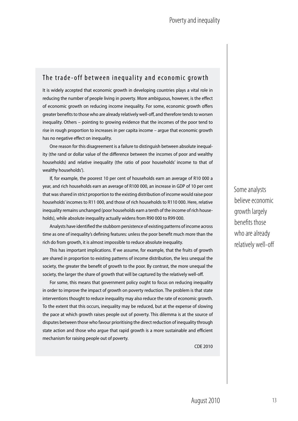### The trade-off between inequality and economic growth

It is widely accepted that economic growth in developing countries plays a vital role in reducing the number of people living in poverty. More ambiguous, however, is the effect of economic growth on reducing income inequality. For some, economic growth offers greater benefits to those who are already relatively well-off, and therefore tends to worsen inequality. Others – pointing to growing evidence that the incomes of the poor tend to rise in rough proportion to increases in per capita income – argue that economic growth has no negative effect on inequality.

One reason for this disagreement is a failure to distinguish between absolute inequality (the rand or dollar value of the difference between the incomes of poor and wealthy households) and relative inequality (the ratio of poor households' income to that of wealthy households').

If, for example, the poorest 10 per cent of households earn an average of R10 000 a year, and rich households earn an average of R100 000, an increase in GDP of 10 per cent that was shared in strict proportion to the existing distribution of income would raise poor households' incomes to R11 000, and those of rich households to R110 000. Here, relative inequality remains unchanged (poor households earn a tenth of the income of rich households), while absolute inequality actually widens from R90 000 to R99 000.

Analysts have identified the stubborn persistence of existing patterns of income across time as one of inequality's defining features: unless the poor benefit much more than the rich do from growth, it is almost impossible to reduce absolute inequality.

This has important implications. If we assume, for example, that the fruits of growth are shared in proportion to existing patterns of income distribution, the less unequal the society, the greater the benefit of growth to the poor. By contrast, the more unequal the society, the larger the share of growth that will be captured by the relatively well-off.

For some, this means that government policy ought to focus on reducing inequality in order to improve the impact of growth on poverty reduction. The problem is that state interventions thought to reduce inequality may also reduce the rate of economic growth. To the extent that this occurs, inequality may be reduced, but at the expense of slowing the pace at which growth raises people out of poverty. This dilemma is at the source of disputes between those who favour prioritising the direct reduction of inequality through state action and those who argue that rapid growth is a more sustainable and efficient mechanism for raising people out of poverty.

CDE 2010

Some analysts believe economic growth largely benefits those who are already relatively well-off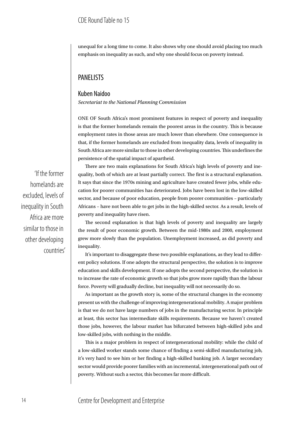unequal for a long time to come. It also shows why one should avoid placing too much emphasis on inequality as such, and why one should focus on poverty instead.

## PANELISTS

#### Kuben Naidoo *Secretariat to the National Planning Commission*

ONE OF South Africa's most prominent features in respect of poverty and inequality is that the former homelands remain the poorest areas in the country. This is because employment rates in those areas are much lower than elsewhere. One consequence is that, if the former homelands are excluded from inequality data, levels of inequality in South Africa are more similar to those in other developing countries. This underlines the persistence of the spatial impact of apartheid.

'If the former homelands are excluded, levels of inequality in South Africa are more similar to those in other developing countries'

There are two main explanations for South Africa's high levels of poverty and inequality, both of which are at least partially correct. The first is a structural explanation. It says that since the 1970s mining and agriculture have created fewer jobs, while education for poorer communities has deteriorated. Jobs have been lost in the low-skilled sector, and because of poor education, people from poorer communities – particularly Africans – have not been able to get jobs in the high-skilled sector. As a result, levels of poverty and inequality have risen.

The second explanation is that high levels of poverty and inequality are largely the result of poor economic growth. Between the mid-1980s and 2000, employment grew more slowly than the population. Unemployment increased, as did poverty and inequality.

It's important to disaggregate these two possible explanations, as they lead to different policy solutions. If one adopts the structural perspective, the solution is to improve education and skills development. If one adopts the second perspective, the solution is to increase the rate of economic growth so that jobs grow more rapidly than the labour force. Poverty will gradually decline, but inequality will not necessarily do so.

As important as the growth story is, some of the structural changes in the economy present us with the challenge of improving intergenerational mobility. A major problem is that we do not have large numbers of jobs in the manufacturing sector. In principle at least, this sector has intermediate skills requirements. Because we haven't created those jobs, however, the labour market has bifurcated between high-skilled jobs and low-skilled jobs, with nothing in the middle.

This is a major problem in respect of intergenerational mobility: while the child of a low-skilled worker stands some chance of finding a semi-skilled manufacturing job, it's very hard to see him or her finding a high-skilled banking job. A larger secondary sector would provide poorer families with an incremental, intergenerational path out of poverty. Without such a sector, this becomes far more difficult.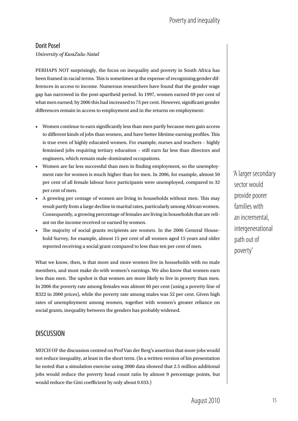# Poverty and inequality

#### Dorit Posel

*University of KwaZulu-Natal*

PERHAPS NOT surprisingly, the focus on inequality and poverty in South Africa has been framed in racial terms. This is sometimes at the expense of recognising gender differences in access to income. Numerous researchers have found that the gender wage gap has narrowed in the post-apartheid period. In 1997, women earned 69 per cent of what men earned; by 2006 this had increased to 75 per cent. However, significant gender differences remain in access to employment and in the returns on employment:

- Women continue to earn significantly less than men partly because men gain access to different kinds of jobs than women, and have better lifetime earning profiles. This is true even of highly educated women. For example, nurses and teachers – highly feminised jobs requiring tertiary education – still earn far less than directors and engineers, which remain male-dominated occupations.
- Women are far less successful than men in finding employment, so the unemployment rate for women is much higher than for men. In 2006, for example, almost 50 per cent of all female labour force participants were unemployed, compared to 32 per cent of men.
- A growing per centage of women are living in households without men. This may result partly from a large decline in marital rates, particularly among African women. Consequently, a growing percentage of females are living in households that are reliant on the income received or earned by women.
- The majority of social grants recipients are women. In the 2006 General Household Survey, for example, almost 15 per cent of all women aged 15 years and older reported receiving a social grant compared to less than ten per cent of men.

What we know, then, is that more and more women live in households with no male members, and must make do with women's earnings. We also know that women earn less than men. The upshot is that women are more likely to live in poverty than men. In 2006 the poverty rate among females was almost 60 per cent (using a poverty line of R322 in 2000 prices), while the poverty rate among males was 52 per cent. Given high rates of unemployment among women, together with women's greater reliance on social grants, inequality between the genders has probably widened.

### **DISCUSSION**

Much of the discussion centred on Prof Van der Berg's assertion that more jobs would not reduce inequality, at least in the short term. (In a written version of his presentation he noted that a simulation exercise using 2000 data showed that 2.5 million additional jobs would reduce the poverty head count ratio by almost 9 percentage points, but would reduce the Gini coefficient by only about 0.033.)

'A larger secondary sector would provide poorer families with an incremental, intergenerational path out of poverty'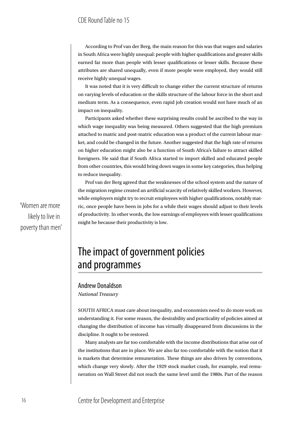According to Prof van der Berg, the main reason for this was that wages and salaries in South Africa were highly unequal: people with higher qualifications and greater skills earned far more than people with lesser qualifications or lesser skills. Because these attributes are shared unequally, even if more people were employed, they would still receive highly unequal wages.

It was noted that it is very difficult to change either the current structure of returns on varying levels of education or the skills structure of the labour force in the short and medium term. As a consequence, even rapid job creation would not have much of an impact on inequality.

Participants asked whether these surprising results could be ascribed to the way in which wage inequality was being measured. Others suggested that the high premium attached to matric and post-matric education was a product of the current labour market, and could be changed in the future. Another suggested that the high rate of returns on higher education might also be a function of South Africa's failure to attract skilled foreigners. He said that if South Africa started to import skilled and educated people from other countries, this would bring down wages in some key categories, thus helping to reduce inequality.

Prof van der Berg agreed that the weaknesses of the school system and the nature of the migration regime created an artificial scarcity of relatively skilled workers. However, while employers might try to recruit employees with higher qualifications, notably matric, once people have been in jobs for a while their wages should adjust to their levels of productivity. In other words, the low earnings of employees with lesser qualifications might be because their productivity is low.

# The impact of government policies and programmes

#### Andrew Donaldson

*National Treasury*

SOUTH AFRICA must care about inequality, and economists need to do more work on understanding it. For some reason, the desirability and practicality of policies aimed at changing the distribution of income has virtually disappeared from discussions in the discipline. It ought to be restored.

Many analysts are far too comfortable with the income distributions that arise out of the institutions that are in place. We are also far too comfortable with the notion that it is markets that determine remuneration. These things are also driven by conventions, which change very slowly. After the 1929 stock market crash, for example, real remuneration on Wall Street did not reach the same level until the 1980s. Part of the reason

'Women are more likely to live in poverty than men'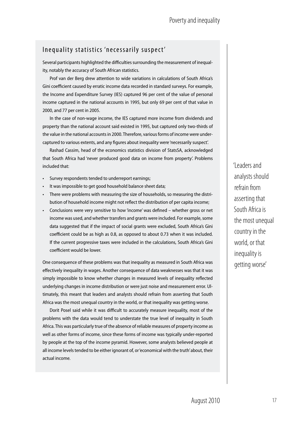### Inequality statistics 'necessarily suspect'

Several participants highlighted the difficulties surrounding the measurement of inequality, notably the accuracy of South African statistics.

Prof van der Berg drew attention to wide variations in calculations of South Africa's Gini coefficient caused by erratic income data recorded in standard surveys. For example, the Income and Expenditure Survey (IES) captured 96 per cent of the value of personal income captured in the national accounts in 1995, but only 69 per cent of that value in 2000, and 77 per cent in 2005.

In the case of non-wage income, the IES captured more income from dividends and property than the national account said existed in 1995, but captured only two-thirds of the value in the national accounts in 2000. Therefore, various forms of income were undercaptured to various extents, and any figures about inequality were 'necessarily suspect'.

Rashad Cassim, head of the economics statistics division of StatsSA, acknowledged that South Africa had 'never produced good data on income from property'. Problems included that:

- Survey respondents tended to underreport earnings;
- It was impossible to get good household balance sheet data;
- There were problems with measuring the size of households, so measuring the distribution of household income might not reflect the distribution of per capita income;
- Conclusions were very sensitive to how 'income' was defined whether gross or net income was used, and whether transfers and grants were included. For example, some data suggested that if the impact of social grants were excluded, South Africa's Gini coefficient could be as high as 0.8, as opposed to about 0.73 when it was included. If the current progressive taxes were included in the calculations, South Africa's Gini coefficient would be lower.

One consequence of these problems was that inequality as measured in South Africa was effectively inequality in wages. Another consequence of data weaknesses was that it was simply impossible to know whether changes in measured levels of inequality reflected underlying changes in income distribution or were just noise and measurement error. Ultimately, this meant that leaders and analysts should refrain from asserting that South Africa was the most unequal country in the world, or that inequality was getting worse.

Dorit Posel said while it was difficult to accurately measure inequality, most of the problems with the data would tend to understate the true level of inequality in South Africa. This was particularly true of the absence of reliable measures of property income as well as other forms of income, since these forms of income was typically under-reported by people at the top of the income pyramid. However, some analysts believed people at all income levels tended to be either ignorant of, or 'economical with the truth' about, their actual income.

'Leaders and analysts should refrain from asserting that South Africa is the most unequal country in the world, or that inequality is getting worse'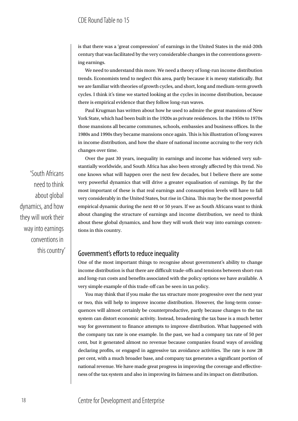is that there was a 'great compression' of earnings in the United States in the mid-20th century that was facilitated by the very considerable changes in the conventions governing earnings.

We need to understand this more. We need a theory of long-run income distribution trends. Economists tend to neglect this area, partly because it is messy statistically. But we are familiar with theories of growth cycles, and short, long and medium-term growth cycles. I think it's time we started looking at the cycles in income distribution, because there is empirical evidence that they follow long-run waves.

Paul Krugman has written about how he used to admire the great mansions of New York State, which had been built in the 1920s as private residences. In the 1950s to 1970s those mansions all became communes, schools, embassies and business offices. In the 1980s and 1990s they became mansions once again. This is his illustration of long waves in income distribution, and how the share of national income accruing to the very rich changes over time.

Over the past 30 years, inequality in earnings and income has widened very substantially worldwide, and South Africa has also been strongly affected by this trend. No one knows what will happen over the next few decades, but I believe there are some very powerful dynamics that will drive a greater equalisation of earnings. By far the most important of these is that real earnings and consumption levels will have to fall very considerably in the United States, but rise in China. This may be the most powerful empirical dynamic during the next 40 or 50 years. If we as South Africans want to think about changing the structure of earnings and income distribution, we need to think about these global dynamics, and how they will work their way into earnings conventions in this country.

### Government's efforts to reduce inequality

One of the most important things to recognise about government's ability to change income distribution is that there are difficult trade-offs and tensions between short-run and long-run costs and benefits associated with the policy options we have available. A very simple example of this trade-off can be seen in tax policy.

You may think that if you make the tax structure more progressive over the next year or two, this will help to improve income distribution. However, the long-term consequences will almost certainly be counterproductive, partly because changes to the tax system can distort economic activity. Instead, broadening the tax base is a much better way for government to finance attempts to improve distribution. What happened with the company tax rate is one example. In the past, we had a company tax rate of 50 per cent, but it generated almost no revenue because companies found ways of avoiding declaring profits, or engaged in aggressive tax avoidance activities. The rate is now 28 per cent, with a much broader base, and company tax generates a significant portion of national revenue. We have made great progress in improving the coverage and effectiveness of the tax system and also in improving its fairness and its impact on distribution.

'South Africans need to think about global dynamics, and how they will work their way into earnings conventions in this country'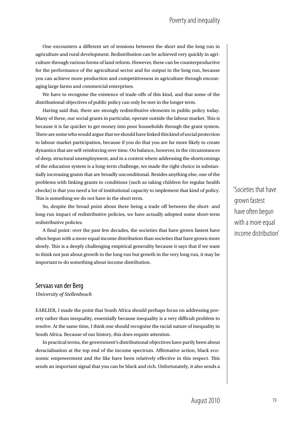One encounters a different set of tensions between the short and the long run in agriculture and rural development. Redistribution can be achieved very quickly in agriculture through various forms of land reform. However, these can be counterproductive for the performance of the agricultural sector and for output in the long run, because you can achieve more production and competitiveness in agriculture through encouraging large farms and commercial enterprises.

We have to recognise the existence of trade-offs of this kind, and that some of the distributional objectives of public policy can only be met in the longer term.

Having said that, there are strongly redistributive elements in public policy today. Many of these, our social grants in particular, operate outside the labour market. This is because it is far quicker to get money into poor households through the grant system. There are some who would argue that we should have linked this kind of social protection to labour market participation, because if you do that you are far more likely to create dynamics that are self-reinforcing over time. On balance, however, in the circumstances of deep, structural unemployment, and in a context where addressing the shortcomings of the education system is a long-term challenge, we made the right choice in substantially increasing grants that are broadly unconditional. Besides anything else, one of the problems with linking grants to conditions (such as taking children for regular health checks) is that you need a lot of institutional capacity to implement that kind of policy. This is something we do not have in the short term.

So, despite the broad point about there being a trade off between the short- and long-run impact of redistributive policies, we have actually adopted some short-term redistributive policies.

A final point: over the past few decades, the societies that have grown fastest have often begun with a more equal income distribution than societies that have grown more slowly. This is a deeply challenging empirical generality because it says that if we want to think not just about growth in the long run but growth in the very long run, it may be important to do something about income distribution.

#### Servaas van der Berg

*University of Stellenbosch*

EARLIER. I made the point that South Africa should perhaps focus on addressing poverty rather than inequality, essentially because inequality is a very difficult problem to resolve. At the same time, I think one should recognise the racial nature of inequality in South Africa. Because of our history, this does require attention.

In practical terms, the government's distributional objectives have partly been about deracialisation at the top end of the income spectrum. Affirmative action, black economic empowerment and the like have been relatively effective in this respect. This sends an important signal that you can be black and rich. Unfortunately, it also sends a 'Societies that have grown fastest have often begun with a more equal income distribution'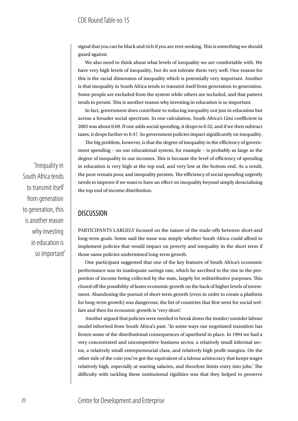signal that you can be black and rich if you are rent-seeking. This is something we should guard against.

We also need to think about what levels of inequality we are comfortable with. We have very high levels of inequality, but do not tolerate them very well. One reason for this is the racial dimension of inequality which is potentially very important. Another is that inequality in South Africa tends to transmit itself from generation to generation. Some people are excluded from the system while others are included, and that pattern tends to persist. This is another reason why investing in education is so important.

In fact, government does contribute to reducing inequality not just in education but across a broader social spectrum. In one calculation, South Africa's Gini coefficient in 2005 was about 0.69. If one adds social spending, it drops to 0.52, and if we then subtract taxes, it drops further to 0.47. So government policies impact significantly on inequality.

The big problem, however, is that the degree of inequality in the efficiency of government spending – on our educational system, for example – is probably as large as the degree of inequality in our incomes. This is because the level of efficiency of spending in education is very high at the top end, and very low at the bottom end. As a result, the poor remain poor, and inequality persists. The efficiency of social spending urgently needs to improve if we want to have an effect on inequality beyond simply deracialising the top end of income distribution.

# **DISCUSSION**

PARTICIPANTS LARGELY focused on the nature of the trade-offs between short-and long-term goals. Some said the issue was simply whether South Africa could afford to implement policies that would impact on poverty and inequality in the short term if those same policies undermined long-term growth.

One participant suggested that one of the key features of South Africa's economic performance was its inadequate savings rate, which he ascribed to the rise in the proportion of income being collected by the state, largely for redistributive purposes. This closed off the possibility of faster economic growth on the back of higher levels of investment. Abandoning the pursuit of short-term growth (even in order to create a platform for long-term growth) was dangerous; the list of countries that first went for social welfare and then for economic growth is 'very short'.

Another argued that policies were needed to break down the insider/outsider labour model inherited from South Africa's past. 'In some ways our negotiated transition has frozen some of the distributional consequences of apartheid in place. In 1994 we had a very concentrated and uncompetitive business sector, a relatively small informal sector, a relatively small entrepreneurial class, and relatively high profit margins. On the other side of the coin you've got the equivalent of a labour aristocracy that keeps wages relatively high, especially at starting salaries, and therefore limits entry into jobs.' The difficulty with tackling these institutional rigidities was that they helped to preserve

'Inequality in South Africa tends to transmit itself from generation to generation, this is another reason why investing in education is so important'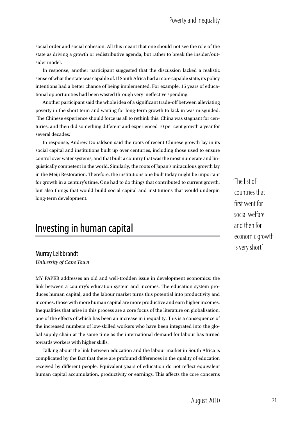social order and social cohesion. All this meant that one should not see the role of the state as driving a growth or redistributive agenda, but rather to break the insider/outsider model.

In response, another participant suggested that the discussion lacked a realistic sense of what the state was capable of. If South Africa had a more capable state, its policy intentions had a better chance of being implemented. For example, 15 years of educational opportunities had been wasted through very ineffective spending.

Another participant said the whole idea of a significant trade-off between alleviating poverty in the short term and waiting for long-term growth to kick in was misguided. 'The Chinese experience should force us all to rethink this. China was stagnant for centuries, and then did something different and experienced 10 per cent growth a year for several decades.'

In response, Andrew Donaldson said the roots of recent Chinese growth lay in its social capital and institutions built up over centuries, including those used to ensure control over water systems, and that built a country that was the most numerate and linguistically competent in the world. Similarly, the roots of Japan's miraculous growth lay in the Meiji Restoration. Therefore, the institutions one built today might be important for growth in a century's time. One had to do things that contributed to current growth, but also things that would build social capital and institutions that would underpin long-term development.

# Investing in human capital

#### Murray Leibbrandt

*University of Cape Town*

my paper addresses an old and well-trodden issue in development economics: the link between a country's education system and incomes. The education system produces human capital, and the labour market turns this potential into productivity and incomes: those with more human capital are more productive and earn higher incomes. Inequalities that arise in this process are a core focus of the literature on globalisation, one of the effects of which has been an increase in inequality. This is a consequence of the increased numbers of low-skilled workers who have been integrated into the global supply chain at the same time as the international demand for labour has turned towards workers with higher skills.

Talking about the link between education and the labour market in South Africa is complicated by the fact that there are profound differences in the quality of education received by different people. Equivalent years of education do not reflect equivalent human capital accumulation, productivity or earnings. This affects the core concerns 'The list of countries that first went for social welfare and then for economic growth is very short'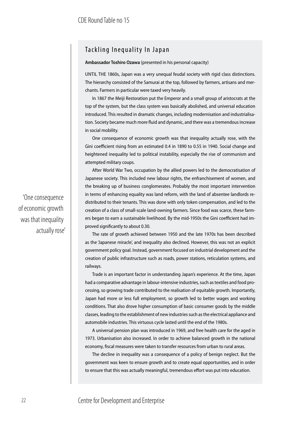### Tackling Inequality In Japan

**Ambassador Toshiro Ozawa** (presented in his personal capacity)

UNTIL THE 1860s, Japan was a very unequal feudal society with rigid class distinctions. The hierarchy consisted of the Samurai at the top, followed by farmers, artisans and merchants. Farmers in particular were taxed very heavily.

In 1867 the Meiji Restoration put the Emperor and a small group of aristocrats at the top of the system, but the class system was basically abolished, and universal education introduced. This resulted in dramatic changes, including modernisation and industrialisation. Society became much more fluid and dynamic, and there was a tremendous increase in social mobility.

One consequence of economic growth was that inequality actually rose, with the Gini coefficient rising from an estimated 0.4 in 1890 to 0.55 in 1940. Social change and heightened inequality led to political instability, especially the rise of communism and attempted military coups.

After World War Two, occupation by the allied powers led to the democratisation of Japanese society. This included new labour rights, the enfranchisement of women, and the breaking up of business conglomerates. Probably the most important intervention in terms of enhancing equality was land reform, with the land of absentee landlords redistributed to their tenants. This was done with only token compensation, and led to the creation of a class of small-scale land-owning farmers. Since food was scarce, these farmers began to earn a sustainable livelihood. By the mid-1950s the Gini coefficient had improved significantly to about 0.30.

The rate of growth achieved between 1950 and the late 1970s has been described as the 'Japanese miracle', and inequality also declined. However, this was not an explicit government policy goal. Instead, government focused on industrial development and the creation of public infrastructure such as roads, power stations, reticulation systems, and railways.

Trade is an important factor in understanding Japan's experience. At the time, Japan had a comparative advantage in labour-intensive industries, such as textiles and food processing, so growing trade contributed to the realisation of equitable growth. Importantly, Japan had more or less full employment, so growth led to better wages and working conditions. That also drove higher consumption of basic consumer goods by the middle classes, leading to the establishment of new industries such as the electrical appliance and automobile industries. This virtuous cycle lasted until the end of the 1980s.

A universal pension plan was introduced in 1969, and free health care for the aged in 1973. Urbanisation also increased. In order to achieve balanced growth in the national economy, fiscal measures were taken to transfer resources from urban to rural areas.

The decline in inequality was a consequence of a policy of benign neglect. But the government was keen to ensure growth and to create equal opportunities, and in order to ensure that this was actually meaningful, tremendous effort was put into education.

'One consequence of economic growth was that inequality actually rose'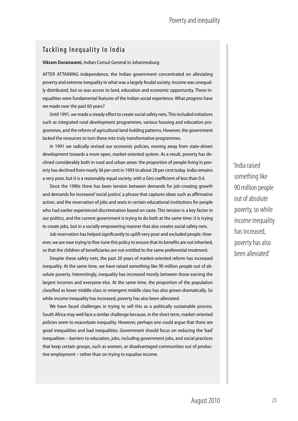### Tackling Inequality In India

#### **Vikram Doraiswami,** Indian Consul-General in Johannesburg

AFTER ATTAINING independence, the Indian government concentrated on alleviating poverty and extreme inequality in what was a largely feudal society. Income was unequally distributed, but so was access to land, education and economic opportunity. These inequalities were fundamental features of the Indian social experience. What progress have we made over the past 60 years?

Until 1991, we made a steady effort to create social safety nets. This included initiatives such as integrated rural development programmes, various housing and education programmes, and the reform of agricultural land-holding patterns. However, the government lacked the resources to turn these into truly transformative programmes.

In 1991 we radically revised our economic policies, moving away from state-driven development towards a more open, market-oriented system. As a result, poverty has declined considerably both in rural and urban areas: the proportion of people living in poverty has declined from nearly 36 per cent in 1993 to about 28 per cent today. India remains a very poor, but it is a reasonably equal society, with a Gini coefficient of less than 0.4.

Since the 1990s there has been tension between demands for job-creating growth and demands for increased 'social justice', a phrase that captures ideas such as affirmative action, and the reservation of jobs and seats in certain educational institutions for people who had earlier experienced discrimination based on caste. This tension is a key factor in our politics, and the current government is trying to do both at the same time: it is trying to create jobs, but in a socially empowering manner that also creates social safety nets.

Job reservation has helped significantly to uplift very poor and excluded people. However, we are now trying to fine-tune this policy to ensure that its benefits are not inherited, so that the children of beneficiaries are not entitled to the same preferential treatment.

Despite these safety nets, the past 20 years of market-oriented reform has increased inequality. At the same time, we have raised something like 90 million people out of absolute poverty. Interestingly, inequality has increased mostly between those earning the largest incomes and everyone else. At the same time, the proportion of the population classified as lower middle class or emergent middle class has also grown dramatically. So while income inequality has increased, poverty has also been alleviated.

We have faced challenges in trying to sell this as a politically sustainable process. South Africa may well face a similar challenge because, in the short term, market-oriented policies seem to exacerbate inequality. However, perhaps one could argue that there are good inequalities and bad inequalities. Government should focus on reducing the 'bad' inequalities – barriers to education, jobs, including government jobs, and social practices that keep certain groups, such as women, or disadvantaged communities out of productive employment – rather than on trying to equalise income.

'India raised something like 90 million people out of absolute poverty, so while income inequality has increased, poverty has also been alleviated'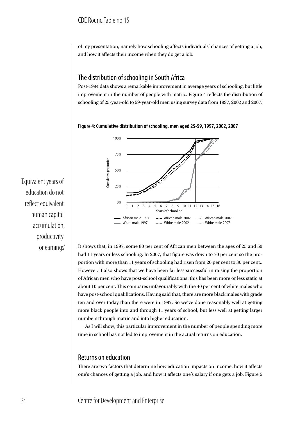of my presentation, namely how schooling affects individuals' chances of getting a job; and how it affects their income when they do get a job.

# The distribution of schooling in South Africa

Post-1994 data shows a remarkable improvement in average years of schooling, but little improvement in the number of people with matric. Figure 4 reflects the distribution of schooling of 25-year-old to 59-year-old men using survey data from 1997, 2002 and 2007.





It shows that, in 1997, some 80 per cent of African men between the ages of 25 and 59 had 11 years or less schooling. In 2007, that figure was down to 70 per cent so the proportion with more than 11 years of schooling had risen from 20 per cent to 30 per cent.. However, it also shows that we have been far less successful in raising the proportion of African men who have post-school qualifications: this has been more or less static at about 10 per cent. This compares unfavourably with the 40 per cent of white males who have post-school qualifications. Having said that, there are more black males with grade ten and over today than there were in 1997. So we've done reasonably well at getting more black people into and through 11 years of school, but less well at getting larger numbers through matric and into higher education.

As I will show, this particular improvement in the number of people spending more time in school has not led to improvement in the actual returns on education.

### Returns on education

There are two factors that determine how education impacts on income: how it affects one's chances of getting a job, and how it affects one's salary if one gets a job. Figure 5

'Equivalent years of education do not reflect equivalent human capital accumulation, productivity or earnings'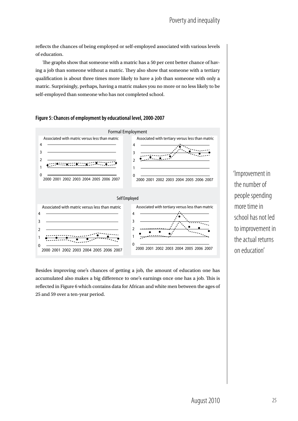reflects the chances of being employed or self-employed associated with various levels of education.

The graphs show that someone with a matric has a 50 per cent better chance of having a job than someone without a matric. They also show that someone with a tertiary qualification is about three times more likely to have a job than someone with only a matric. Surprisingly, perhaps, having a matric makes you no more or no less likely to be self-employed than someone who has not completed school.



#### **Figure 5: Chances of employment by educational level, 2000-2007**

Besides improving one's chances of getting a job, the amount of education one has accumulated also makes a big difference to one's earnings once one has a job. This is reflected in Figure 6 which contains data for African and white men between the ages of 25 and 59 over a ten-year period.

'Improvement in the number of people spending more time in school has not led to improvement in the actual returns on education'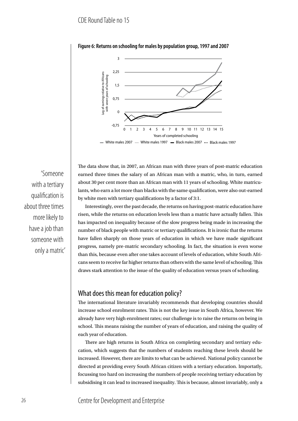

#### **Figure 6: Returns on schooling for males by population group, 1997 and 2007**

'Someone with a tertiary qualification is about three times more likely to have a job than someone with only a matric' The data show that, in 2007, an African man with three years of post-matric education earned three times the salary of an African man with a matric, who, in turn, earned about 30 per cent more than an African man with 11 years of schooling. White matriculants, who earn a lot more than blacks with the same qualification, were also out-earned by white men with tertiary qualifications by a factor of 3:1.

Interestingly, over the past decade, the returns on having post-matric education have risen, while the returns on education levels less than a matric have actually fallen. This has impacted on inequality because of the slow progress being made in increasing the number of black people with matric or tertiary qualifications. It is ironic that the returns have fallen sharply on those years of education in which we have made significant progress, namely pre-matric secondary schooling. In fact, the situation is even worse than this, because even after one takes account of levels of education, white South Africans seem to receive far higher returns than others with the same level of schooling. This draws stark attention to the issue of the quality of education versus years of schooling.

#### What does this mean for education policy?

The international literature invariably recommends that developing countries should increase school enrolment rates. This is not the key issue in South Africa, however. We already have very high enrolment rates; our challenge is to raise the returns on being in school. This means raising the number of years of education, and raising the quality of each year of education.

There are high returns in South Africa on completing secondary and tertiary education, which suggests that the numbers of students reaching these levels should be increased. However, there are limits to what can be achieved. National policy cannot be directed at providing every South African citizen with a tertiary education. Importatly, focussing too hard on increasing the numbers of people receiving tertiary education by subsidising it can lead to increased inequality. This is because, almost invariably, only a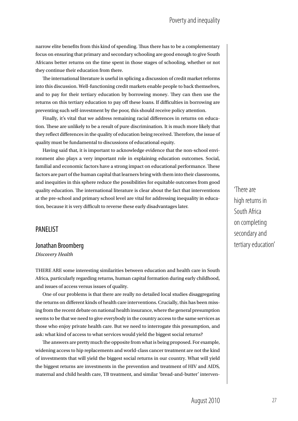narrow elite benefits from this kind of spending. Thus there has to be a complementary focus on ensuring that primary and secondary schooling are good enough to give South Africans better returns on the time spent in those stages of schooling, whether or not they continue their education from there.

The international literature is useful in splicing a discussion of credit market reforms into this discussion. Well-functioning credit markets enable people to back themselves, and to pay for their tertiary education by borrowing money. They can then use the returns on this tertiary education to pay off these loans. If difficulties in borrowing are preventing such self-investment by the poor, this should receive policy attention.

Finally, it's vital that we address remaining racial differences in returns on education. These are unlikely to be a result of pure discrimination. It is much more likely that they reflect differences in the quality of education being received. Therefore, the issue of quality must be fundamental to discussions of educational equity.

Having said that, it is important to acknowledge evidence that the non-school environment also plays a very important role in explaining education outcomes. Social, familial and economic factors have a strong impact on educational performance. These factors are part of the human capital that learners bring with them into their classrooms, and inequities in this sphere reduce the possibilities for equitable outcomes from good quality education. The international literature is clear about the fact that interventions at the pre-school and primary school level are vital for addressing inequality in education, because it is very difficult to reverse these early disadvantages later.

#### PANELIST

Jonathan Broomberg *Discovery Health*

THERE ARE some interesting similarities between education and health care in South Africa, particularly regarding returns, human capital formation during early childhood, and issues of access versus issues of quality.

One of our problems is that there are really no detailed local studies disaggregating the returns on different kinds of health care interventions. Crucially, this has been missing from the recent debate on national health insurance, where the general presumption seems to be that we need to give everybody in the country access to the same services as those who enjoy private health care. But we need to interrogate this presumption, and ask: what kind of access to what services would yield the biggest social returns?

The answers are pretty much the opposite from what is being proposed. For example, widening access to hip replacements and world-class cancer treatment are not the kind of investments that will yield the biggest social returns in our country. What will yield the biggest returns are investments in the prevention and treatment of HIV and AIDS, maternal and child health care, TB treatment, and similar 'bread-and-butter' interven'There are high returns in South Africa on completing secondary and tertiary education'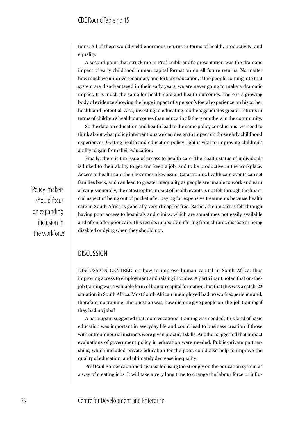tions. All of these would yield enormous returns in terms of health, productivity, and equality.

A second point that struck me in Prof Leibbrandt's presentation was the dramatic impact of early childhood human capital formation on all future returns. No matter how much we improve secondary and tertiary education, if the people coming into that system are disadvantaged in their early years, we are never going to make a dramatic impact. It is much the same for health care and health outcomes. There is a growing body of evidence showing the huge impact of a person's foetal experience on his or her health and potential. Also, investing in educating mothers generates greater returns in terms of children's health outcomes than educating fathers or others in the community.

So the data on education and health lead to the same policy conclusions: we need to think about what policy interventions we can design to impact on those early childhood experiences. Getting health and education policy right is vital to improving children's ability to gain from their education.

Finally, there is the issue of access to health care. The health status of individuals is linked to their ability to get and keep a job, and to be productive in the workplace. Access to health care then becomes a key issue. Catastrophic health care events can set families back, and can lead to greater inequality as people are unable to work and earn a living. Generally, the catastrophic impact of health events is not felt through the financial aspect of being out of pocket after paying for expensive treatments because health care in South Africa is generally very cheap, or free. Rather, the impact is felt through having poor access to hospitals and clinics, which are sometimes not easily available and often offer poor care. This results in people suffering from chronic disease or being disabled or dying when they should not.

#### **DISCUSSION**

DISCUSSION CENTRED on how to improve human capital in South Africa, thus improving access to employment and raising incomes. A participant noted that on-thejob training was a valuable form of human capital formation, but that this was a catch-22 situation in South Africa. Most South African unemployed had no work experience and, therefore, no training. The question was, how did one give people on-the-job training if they had no jobs?

A participant suggested that more vocational training was needed. This kind of basic education was important in everyday life and could lead to business creation if those with entrepreneurial instincts were given practical skills. Another suggested that impact evaluations of government policy in education were needed. Public-private partnerships, which included private education for the poor, could also help to improve the quality of education, and ultimately decrease inequality.

Prof Paul Romer cautioned against focusing too strongly on the education system as a way of creating jobs. It will take a very long time to change the labour force or influ-

'Policy-makers should focus on expanding inclusion in the workforce'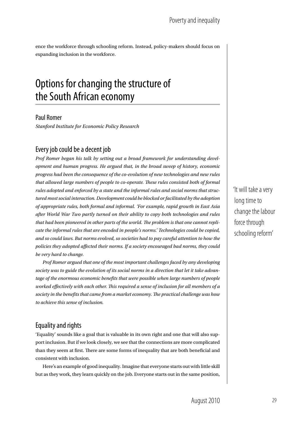ence the workforce through schooling reform. Instead, policy-makers should focus on expanding inclusion in the workforce.

# Options for changing the structure of the South African economy

#### Paul Romer

*Stanford Institute for Economic Policy Research*

# Every job could be a decent job

*Prof Romer began his talk by setting out a broad framework for understanding development and human progress. He argued that, in the broad sweep of history, economic progress had been the consequence of the co-evolution of new technologies and new rules that allowed large numbers of people to co-operate. These rules consisted both of formal rules adopted and enforced by a state and the informal rules and social norms that structured most social interaction. Development could be blocked or facilitated by the adoption of appropriate rules, both formal and informal. 'For example, rapid growth in East Asia after World War Two partly turned on their ability to copy both technologies and rules that had been pioneered in other parts of the world. The problem is that one cannot replicate the informal rules that are encoded in people's norms.' Technologies could be copied, and so could laws. But norms evolved, so societies had to pay careful attention to how the policies they adopted affected their norms. If a society encouraged bad norms, they could be very hard to change.*

*Prof Romer argued that one of the most important challenges faced by any developing society was to guide the evolution of its social norms in a direction that let it take advantage of the enormous economic benefits that were possible when large numbers of people worked effectively with each other. This required a sense of inclusion for all members of a society in the benefits that came from a market economy. The practical challenge was how to achieve this sense of inclusion.*

# Equality and rights

'Equality' sounds like a goal that is valuable in its own right and one that will also support inclusion. But if we look closely, we see that the connections are more complicated than they seem at first. There are some forms of inequality that are both beneficial and consistent with inclusion.

Here's an example of good inequality. Imagine that everyone starts out with little skill but as they work, they learn quickly on the job. Everyone starts out in the same position,

'It will take a very long time to change the labour force through schooling reform'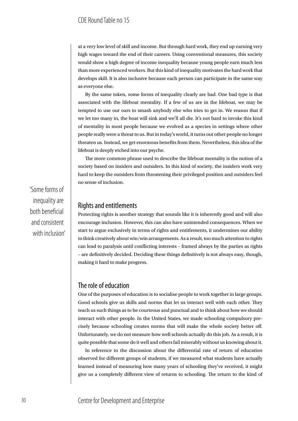at a very low level of skill and income. But through hard work, they end up earning very high wages toward the end of their careers. Using conventional measures, this society would show a high degree of income inequality because young people earn much less than more experienced workers. But this kind of inequality motivates the hard work that develops skill. It is also inclusive because each person can participate in the same way as everyone else.

By the same token, some forms of inequality clearly are bad. One bad type is that associated with the lifeboat mentality. If a few of us are in the lifeboat, we may be tempted to use our oars to smash anybody else who tries to get in. We reason that if we let too many in, the boat will sink and we'll all die. It's not hard to invoke this kind of mentality in most people because we evolved as a species in settings where other people really were a threat to us. But in today's world, it turns out other people no longer threaten us. Instead, we get enormous benefits from them. Nevertheless, this idea of the lifeboat is deeply etched into our psyche.

The more common phrase used to describe the lifeboat mentality is the notion of a society based on insiders and outsiders. In this kind of society, the insiders work very hard to keep the outsiders from threatening their privileged position and outsiders feel no sense of inclusion.

### Rights and entitlements

Protecting rights is another strategy that sounds like it is inherently good and will also encourage inclusion. However, this can also have unintended consequences. When we start to argue exclusively in terms of rights and entitlements, it undermines our ability to think creatively about win/win arrangements. As a result, too much attention to rights can lead to paralysis until conflicting interests – framed always by the parties as rights – are definitively decided. Deciding these things definitively is not always easy, though, making it hard to make progress.

#### The role of education

One of the purposes of education is to socialise people to work together in large groups. Good schools give us skills and norms that let us interact well with each other. They teach us such things as to be courteous and punctual and to think about how we should interact with other people. In the United States, we made schooling compulsory precisely because schooling creates norms that will make the whole society better off. Unfortunately, we do not measure how well schools actually do this job. As a result, it is quite possible that some do it well and others fail miserably without us knowing about it.

In reference to the discussion about the differential rate of return of education observed for different groups of students, if we measured what students have actually learned instead of measuring how many years of schooling they've received, it might give us a completely different view of returns to schooling. The return to the kind of

'Some forms of inequality are both beneficial and consistent with inclusion'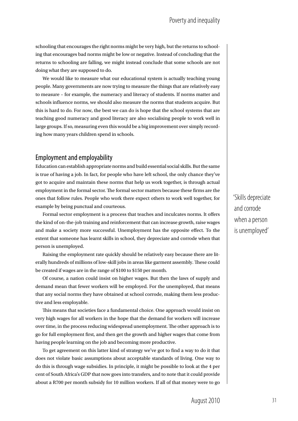schooling that encourages the right norms might be very high, but the returns to schooling that encourages bad norms might be low or negative. Instead of concluding that the returns to schooling are falling, we might instead conclude that some schools are not doing what they are supposed to do.

We would like to measure what our educational system is actually teaching young people. Many governments are now trying to measure the things that are relatively easy to measure – for example, the numeracy and literacy of students. If norms matter and schools influence norms, we should also measure the norms that students acquire. But this is hard to do. For now, the best we can do is hope that the school systems that are teaching good numeracy and good literacy are also socialising people to work well in large groups. If so, measuring even this would be a big improvement over simply recording how many years children spend in schools.

### Employment and employability

Education can establish appropriate norms and build essential social skills. But the same is true of having a job. In fact, for people who have left school, the only chance they've got to acquire and maintain these norms that help us work together, is through actual employment in the formal sector. The formal sector matters because these firms are the ones that follow rules. People who work there expect others to work well together, for example by being punctual and courteous.

Formal sector employment is a process that teaches and inculcates norms. It offers the kind of on-the-job training and reinforcement that can increase growth, raise wages and make a society more successful. Unemployment has the opposite effect. To the extent that someone has learnt skills in school, they depreciate and corrode when that person is unemployed.

Raising the employment rate quickly should be relatively easy because there are literally hundreds of millions of low-skill jobs in areas like garment assembly. These could be created if wages are in the range of \$100 to \$150 per month.

Of course, a nation could insist on higher wages. But then the laws of supply and demand mean that fewer workers will be employed. For the unemployed, that means that any social norms they have obtained at school corrode, making them less productive and less employable.

This means that societies face a fundamental choice. One approach would insist on very high wages for all workers in the hope that the demand for workers will increase over time, in the process reducing widespread unemployment. The other approach is to go for full employment first, and then get the growth and higher wages that come from having people learning on the job and becoming more productive.

To get agreement on this latter kind of strategy we've got to find a way to do it that does not violate basic assumptions about acceptable standards of living. One way to do this is through wage subsidies. In principle, it might be possible to look at the 4 per cent of South Africa's GDP that now goes into transfers, and to note that it could provide about a R700 per month subsidy for 10 million workers. If all of that money were to go

'Skills depreciate and corrode when a person is unemployed'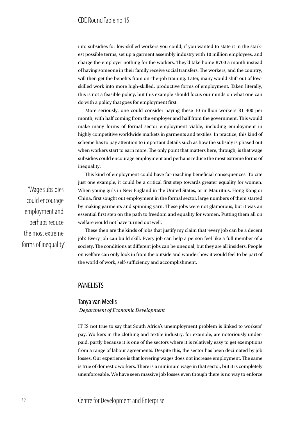into subsidies for low-skilled workers you could, if you wanted to state it in the starkest possible terms, set up a garment assembly industry with 10 million employees, and charge the employer nothing for the workers. They'd take home R700 a month instead of having someone in their family receive social transfers. The workers, and the country, will then get the benefits from on-the-job training. Later, many would shift out of lowskilled work into more high-skilled, productive forms of employment. Taken literally, this is not a feasible policy, but this example should focus our minds on what one can do with a policy that goes for employment first.

More seriously, one could consider paying these 10 million workers R1 400 per month, with half coming from the employer and half from the government. This would make many forms of formal sector employment viable, including employment in highly competitive worldwide markets in garments and textiles. In practice, this kind of scheme has to pay attention to important details such as how the subsidy is phased out when workers start to earn more. The only point that matters here, through, is that wage subsidies could encourage employment and perhaps reduce the most extreme forms of inequality.

This kind of employment could have far-reaching beneficial consequences. To cite just one example, it could be a critical first step towards greater equality for women. When young girls in New England in the United States, or in Mauritius, Hong Kong or China, first sought out employment in the formal sector, large numbers of them started by making garments and spinning yarn. These jobs were not glamorous, but it was an essential first step on the path to freedom and equality for women. Putting them all on welfare would not have turned out well.

These then are the kinds of jobs that justify my claim that 'every job can be a decent job.' Every job can build skill. Every job can help a person feel like a full member of a society. The conditions at different jobs can be unequal, but they are all insiders. People on welfare can only look in from the outside and wonder how it would feel to be part of the world of work, self-sufficiency and accomplishment.

#### PANELISTS

#### Tanya van Meelis  *Department of Economic Development*

IT IS not true to say that South Africa's unemployment problem is linked to workers' pay. Workers in the clothing and textile industry, for example, are notoriously underpaid, partly because it is one of the sectors where it is relatively easy to get exemptions from a range of labour agreements. Despite this, the sector has been decimated by job losses. Our experience is that lowering wages does not increase employment. The same is true of domestic workers. There is a minimum wage in that sector, but it is completely unenforceable. We have seen massive job losses even though there is no way to enforce

'Wage subsidies could encourage employment and perhaps reduce the most extreme forms of inequality'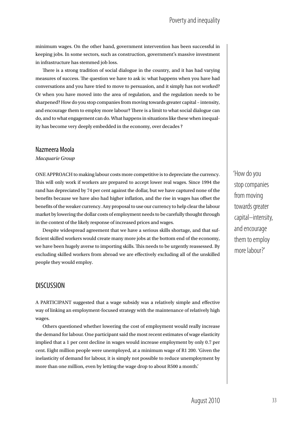minimum wages. On the other hand, government intervention has been successful in keeping jobs. In some sectors, such as construction, government's massive investment in infrastructure has stemmed job loss.

There is a strong tradition of social dialogue in the country, and it has had varying measures of success. The question we have to ask is: what happens when you have had conversations and you have tried to move to persuasion, and it simply has not worked? Or when you have moved into the area of regulation, and the regulation needs to be sharpened? How do you stop companies from moving towards greater capital – intensity, and encourage them to employ more labour? There is a limit to what social dialogue can do, and to what engagement can do. What happens in situations like these when inequality has become very deeply embedded in the economy, over decades ?

#### Nazmeera Moola

*Macquarie Group*

ONE APPROACH to making labour costs more competitive is to depreciate the currency. This will only work if workers are prepared to accept lower real wages. Since 1994 the rand has depreciated by 74 per cent against the dollar, but we have captured none of the benefits because we have also had higher inflation, and the rise in wages has offset the benefits of the weaker currency. Any proposal to use our currency to help clear the labour market by lowering the dollar costs of employment needs to be carefully thought through in the context of the likely response of increased prices and wages.

Despite widespread agreement that we have a serious skills shortage, and that sufficient skilled workers would create many more jobs at the bottom end of the economy, we have been hugely averse to importing skills. This needs to be urgently reassessed. By excluding skilled workers from abroad we are effectively excluding all of the unskilled people they would employ.

### **DISCUSSION**

A participant suggested that a wage subsidy was a relatively simple and effective way of linking an employment-focused strategy with the maintenance of relatively high wages.

Others questioned whether lowering the cost of employment would really increase the demand for labour. One participant said the most recent estimates of wage elasticity implied that a 1 per cent decline in wages would increase employment by only 0.7 per cent. Eight million people were unemployed, at a minimum wage of R1 200. 'Given the inelasticity of demand for labour, it is simply not possible to reduce unemployment by more than one million, even by letting the wage drop to about R500 a month.'

'How do you stop companies from moving towards greater capital–intensity, and encourage them to employ more labour?'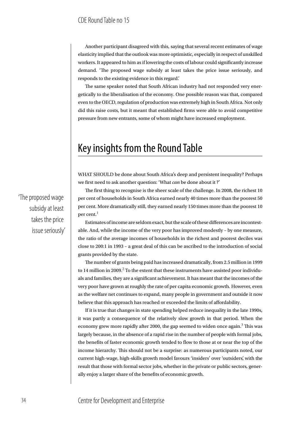Another participant disagreed with this, saying that several recent estimates of wage elasticity implied that the outlook was more optimistic, especially in respect of unskilled workers. It appeared to him as if lowering the costs of labour could significantly increase demand. 'The proposed wage subsidy at least takes the price issue seriously, and responds to the existing evidence in this regard.'

The same speaker noted that South African industry had not responded very energetically to the liberalisation of the economy. One possible reason was that, compared even to the OECD, regulation of production was extremely high in South Africa. Not only did this raise costs, but it meant that established firms were able to avoid competitive pressure from new entrants, some of whom might have increased employment.

# Key insights from the Round Table

WHAT SHOULD be done about South Africa's deep and persistent inequality? Perhaps we first need to ask another question: 'What *can* be done about it ?'

The first thing to recognise is the sheer scale of the challenge. In 2008, the richest 10 per cent of households in South Africa earned nearly 40 times more than the poorest 50 per cent. More dramatically still, they earned nearly 150 times more than the poorest 10 per cent. $<sup>1</sup>$ </sup>

Estimates of income are seldom exact, but the scale of these differences are incontestable. And, while the income of the very poor has improved modestly – by one measure, the ratio of the average incomes of households in the richest and poorest deciles was close to 200:1 in 1993 – a great deal of this can be ascribed to the introduction of social grants provided by the state.

The number of grants being paid has increased dramatically, from 2.5 million in 1999 to 14 million in 2009. $^2$  To the extent that these instruments have assisted poor individuals and families, they are a significant achievement. It has meant that the incomes of the very poor have grown at roughly the rate of per capita economic growth. However, even as the welfare net continues to expand, many people in government and outside it now believe that this approach has reached or exceeded the limits of affordability.

If it is true that changes in state spending helped reduce inequality in the late 1990s, it was partly a consequence of the relatively slow growth in that period. When the economy grew more rapidly after 2000, the gap seemed to widen once again.<sup>3</sup> This was largely because, in the absence of a rapid rise in the number of people with formal jobs, the benefits of faster economic growth tended to flow to those at or near the top of the income hierarchy. This should not be a surprise: as numerous participants noted, our current high-wage, high-skills growth model favours 'insiders' over 'outsiders', with the result that those with formal sector jobs, whether in the private or public sectors, generally enjoy a larger share of the benefits of economic growth.

'The proposed wage subsidy at least takes the price issue seriously'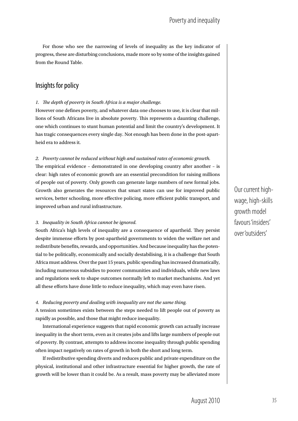For those who see the narrowing of levels of inequality as the key indicator of progress, these are disturbing conclusions, made more so by some of the insights gained from the Round Table.

### Insights for policy

#### *1. The depth of poverty in South Africa is a major challenge.*

However one defines poverty, and whatever data one chooses to use, it is clear that millions of South Africans live in absolute poverty. This represents a daunting challenge, one which continues to stunt human potential and limit the country's development. It has tragic consequences every single day. Not enough has been done in the post-apartheid era to address it.

#### *2. Poverty cannot be reduced without high and sustained rates of economic growth.*

The empirical evidence – demonstrated in one developing country after another – is clear: high rates of economic growth are an essential precondition for raising millions of people out of poverty. Only growth can generate large numbers of new formal jobs. Growth also generates the resources that smart states can use for improved public services, better schooling, more effective policing, more efficient public transport, and improved urban and rural infrastructure.

#### *3. Inequality in South Africa cannot be ignored.*

South Africa's high levels of inequality are a consequence of apartheid. They persist despite immense efforts by post-apartheid governments to widen the welfare net and redistribute benefits, rewards, and opportunities. And because inequality has the potential to be politically, economically and socially destabilising, it is a challenge that South Africa must address. Over the past 15 years, public spending has increased dramatically, including numerous subsidies to poorer communities and individuals, while new laws and regulations seek to shape outcomes normally left to market mechanisms. And yet all these efforts have done little to reduce inequality, which may even have risen.

#### *4. Reducing poverty and dealing with inequality are not the same thing.*

A tension sometimes exists between the steps needed to lift people out of poverty as rapidly as possible, and those that might reduce inequality.

International experience suggests that rapid economic growth can actually increase inequality in the short term, even as it creates jobs and lifts large numbers of people out of poverty. By contrast, attempts to address income inequality through public spending often impact negatively on rates of growth in both the short and long term.

If redistributive spending diverts and reduces public and private expenditure on the physical, institutional and other infrastructure essential for higher growth, the rate of growth will be lower than it could be. As a result, mass poverty may be alleviated more

Our current highwage, high-skills growth model favours 'insiders' over 'outsiders'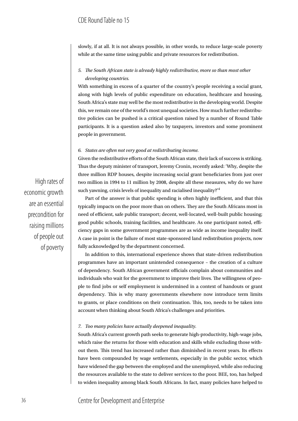slowly, if at all. It is not always possible, in other words, to reduce large-scale poverty while at the same time using public and private resources for redistribution.

#### *5. The South African state is already highly redistributive, more so than most other developing countries.*

With something in excess of a quarter of the country's people receiving a social grant, along with high levels of public expenditure on education, healthcare and housing, South Africa's state may well be the most redistributive in the developing world. Despite this, we remain one of the world's most unequal societies. How much further redistributive policies can be pushed is a critical question raised by a number of Round Table participants. It is a question asked also by taxpayers, investors and some prominent people in government.

#### *6. States are often not very good at redistributing income.*

Given the redistributive efforts of the South African state, their lack of success is striking. Thus the deputy minister of transport, Jeremy Cronin, recently asked: 'Why, despite the three million RDP houses, despite increasing social grant beneficiaries from just over two million in 1994 to 11 million by 2008, despite all these measures, why do we have such yawning, crisis levels of inequality and racialised inequality?'<sup>4</sup>

Part of the answer is that public spending is often highly inefficient, and that this typically impacts on the poor more than on others. They are the South Africans most in need of efficient, safe public transport; decent, well-located, well-built public housing; good public schools, training facilities, and healthcare. As one participant noted, efficiency gaps in some government programmes are as wide as income inequality itself. A case in point is the failure of most state-sponsored land redistribution projects, now fully acknowledged by the department concerned.

In addition to this, international experience shows that state-driven redistribution programmes have an important unintended consequence – the creation of a culture of dependency. South African government officials complain about communities and individuals who wait for the government to improve their lives. The willingness of people to find jobs or self employment is undermined in a context of handouts or grant dependency. This is why many governments elsewhere now introduce term limits to grants, or place conditions on their continuation. This, too, needs to be taken into account when thinking about South Africa's challenges and priorities.

#### *7. Too many policies have actually deepened inequality.*

South Africa's current growth path seeks to generate high-productivity, high-wage jobs, which raise the returns for those with education and skills while excluding those without them. This trend has increased rather than diminished in recent years. Its effects have been compounded by wage settlements, especially in the public sector, which have widened the gap between the employed and the unemployed, while also reducing the resources available to the state to deliver services to the poor. BEE, too, has helped to widen inequality among black South Africans. In fact, many policies have helped to

High rates of economic growth are an essential precondition for raising millions of people out of poverty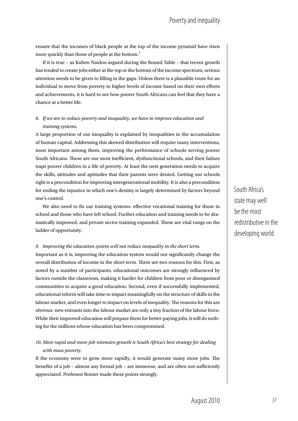ensure that the incomes of black people at the top of the income pyramid have risen more quickly than those of people at the bottom.<sup>5</sup>

If it is true – as Kuben Naidoo argued during the Round Table – that recent growth has tended to create jobs either at the top or the bottom of the income spectrum, serious attention needs to be given to filling in the gaps. Unless there is a plausible route for an individual to move from poverty to higher levels of income based on their own efforts and achievements, it is hard to see how poorer South Africans can feel that they have a chance at a better life.

#### *8. If we are to reduce poverty and inequality, we have to improve education and training systems.*

A large proportion of our inequality is explained by inequalities in the accumulation of human capital. Addressing this skewed distribution will require many interventions, most important among them, improving the performance of schools serving poorer South Africans. These are our most inefficient, dysfunctional schools, and their failure traps poorer children in a life of poverty. At least the next generation needs to acquire the skills, attitudes and aptitudes that their parents were denied. Getting our schools right is a precondition for improving intergenerational mobility. It is also a precondition for ending the injustice in which one's destiny is largely determined by factors beyond one's control.

We also need to fix our training systems: effective vocational training for those in school and those who have left school. Further education and training needs to be dramatically improved, and private sector training expanded. These are vital rungs on the ladder of opportunity.

#### *9. Improving the education system will not reduce inequality in the short term.*

Important as it is, improving the education system would not significantly change the overall distribution of income in the short term. There are two reasons for this. First, as noted by a number of participants, educational outcomes are strongly influenced by factors outside the classroom, making it harder for children from poor or disorganised communities to acquire a good education. Second, even if successfully implemented, educational reform will take time to impact meaningfully on the structure of skills in the labour market, and even longer to impact on levels of inequality. The reasons for this are obvious: new entrants into the labour market are only a tiny fraction of the labour force. While their improved education will prepare them for better-paying jobs, it will do nothing for the millions whose education has been compromised.

#### *10. More rapid and more job-intensive growth is South Africa's best strategy for dealing with mass poverty.*

If the economy were to grow more rapidly, it would generate many more jobs. The benefits of a job – almost any formal job – are immense, and are often not sufficiently appreciated. Professor Romer made these points strongly.

South Africa's state may well be the most redistributive in the developing world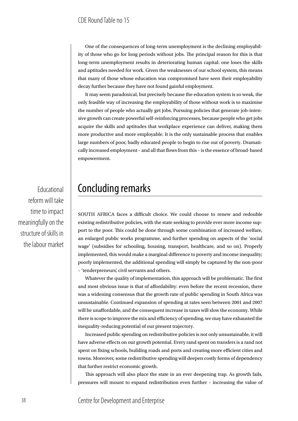One of the consequences of long-term unemployment is the declining employability of those who go for long periods without jobs. The principal reason for this is that long-term unemployment results in deteriorating human capital: one loses the skills and aptitudes needed for work. Given the weaknesses of our school system, this means that many of those whose education was compromised have seen their employability decay further because they have not found gainful employment.

It may seem paradoxical, but precisely because the education system is so weak, the only feasible way of increasing the employability of those without work is to maximise the number of people who actually get jobs. Pursuing policies that generate job-intensive growth can create powerful self-reinforcing processes, because people who get jobs acquire the skills and aptitudes that workplace experience can deliver, making them more productive and more employable. It is the only sustainable process that enables large numbers of poor, badly educated people to begin to rise out of poverty. Dramatically increased employment – and all that flows from this – is the essence of broad-based empowerment.

Educational reform will take time to impact meaningfully on the structure of skills in the labour market

# Concluding remarks

South Africa faces a difficult choice. We could choose to renew and redouble existing redistributive policies, with the state seeking to provide ever more income support to the poor. This could be done through some combination of increased welfare, an enlarged public works programme, and further spending on aspects of the 'social wage' (subsidies for schooling, housing, transport, healthcare, and so on). Properly implemented, this would make a marginal difference to poverty and income inequality; poorly implemented, the additional spending will simply be captured by the non-poor – 'tenderpreneurs', civil servants and others.

Whatever the quality of implementation, this approach will be problematic. The first and most obvious issue is that of affordability: even before the recent recession, there was a widening consensus that the growth rate of public spending in South Africa was unsustainable. Continued expansion of spending at rates seen between 2001 and 2007 will be unaffordable, and the consequent increase in taxes will slow the economy. While there is scope to improve the mix and efficiency of spending, we may have exhausted the inequality-reducing potential of our present trajectory.

Increased public spending on redistributive policies is not only unsustainable, it will have adverse effects on our growth potential. Every rand spent on transfers is a rand not spent on fixing schools, building roads and ports and creating more efficient cities and towns. Moreover, some redistributive spending will deepen costly forms of dependency that further restrict economic growth.

This approach will also place the state in an ever deepening trap. As growth fails, pressures will mount to expand redistribution even further – increasing the value of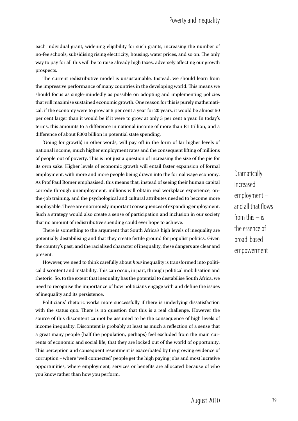each individual grant, widening eligibility for such grants, increasing the number of no-fee schools, subsidising rising electricity, housing, water prices, and so on. The only way to pay for all this will be to raise already high taxes, adversely affecting our growth prospects.

The current redistributive model is unsustainable. Instead, we should learn from the impressive performance of many countries in the developing world. This means we should focus as single-mindedly as possible on adopting and implementing policies that will maximise sustained economic growth. One reason for this is purely mathematical: if the economy were to grow at 5 per cent a year for 20 years, it would be almost 50 per cent larger than it would be if it were to grow at only 3 per cent a year. In today's terms, this amounts to a difference in national income of more than R1 trillion, and a difference of about R300 billion in potential state spending.

'Going for growth', in other words, will pay off in the form of far higher levels of national income, much higher employment rates and the consequent lifting of millions of people out of poverty. This is not just a question of increasing the size of the pie for its own sake. Higher levels of economic growth will entail faster expansion of formal employment, with more and more people being drawn into the formal wage economy. As Prof Paul Romer emphasised, this means that, instead of seeing their human capital corrode through unemployment, millions will obtain real workplace experience, onthe-job training, and the psychological and cultural attributes needed to become more employable. These are enormously important consequences of expanding employment. Such a strategy would also create a sense of participation and inclusion in our society that no amount of redistributive spending could ever hope to achieve.

There is something to the argument that South Africa's high levels of inequality are potentially destabilising and that they create fertile ground for populist politics. Given the country's past, and the racialised character of inequality, these dangers are clear and present.

However, we need to think carefully about *how* inequality is transformed into political discontent and instability. This can occur, in part, through political mobilisation and rhetoric. So, to the extent that inequality has the potential to destabilise South Africa, we need to recognise the importance of how politicians engage with and define the issues of inequality and its persistence.

Politicians' rhetoric works more successfully if there is underlying dissatisfaction with the status quo. There is no question that this is a real challenge. However the source of this discontent cannot be assumed to be the consequence of high levels of income inequality. Discontent is probably at least as much a reflection of a sense that a great many people (half the population, perhaps) feel excluded from the main currents of economic and social life, that they are locked out of the world of opportunity. This perception and consequent resentment is exacerbated by the growing evidence of corruption – where 'well connected' people get the high paying jobs and most lucrative opportunities, where employment, services or benefits are allocated because of who you know rather than how you perform.

**Dramatically** increased employment – and all that flows from this  $-$  is the essence of broad-based empowerment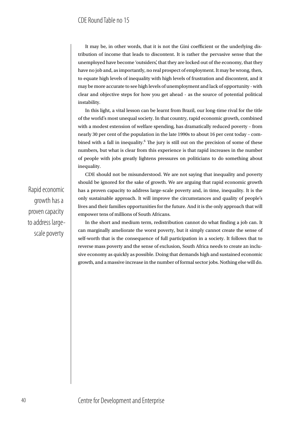It may be, in other words, that it is not the Gini coefficient or the underlying distribution of income that leads to discontent. It is rather the pervasive sense that the unemployed have become 'outsiders', that they are locked out of the economy, that they have no job and, as importantly, no real prospect of employment. It may be wrong, then, to equate high levels of inequality with high levels of frustration and discontent, and it may be more accurate to see high levels of unemployment and lack of opportunity - with clear and objective steps for how you get ahead - as the source of potential political instability.

In this light, a vital lesson can be learnt from Brazil, our long-time rival for the title of the world's most unequal society. In that country, rapid economic growth, combined with a modest extension of welfare spending, has dramatically reduced poverty – from nearly 30 per cent of the population in the late 1990s to about 16 per cent today – combined with a fall in inequality.<sup>6</sup> The jury is still out on the precision of some of these numbers, but what is clear from this experience is that rapid increases in the number of people with jobs greatly lightens pressures on politicians to do something about inequality.

Rapid economic growth has a proven capacity to address largescale poverty

CDE should not be misunderstood. We are not saying that inequality and poverty should be ignored for the sake of growth. We are arguing that rapid economic growth has a proven capacity to address large-scale poverty and, in time, inequality. It is the only sustainable approach. It will improve the circumstances and quality of people's lives and their families opportunities for the future. And it is the only approach that will empower tens of millions of South Africans.

In the short and medium term, redistribution cannot do what finding a job can. It can marginally ameliorate the worst poverty, but it simply cannot create the sense of self-worth that is the consequence of full participation in a society. It follows that to reverse mass poverty and the sense of exclusion, South Africa needs to create an inclusive economy as quickly as possible. Doing that demands high and sustained economic growth, and a massive increase in the number of formal sector jobs. Nothing else will do.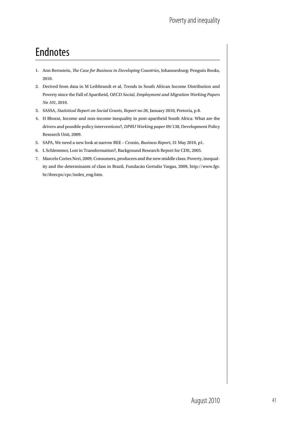# Endnotes

- 1. Ann Bernstein, *The Case for Business in Developing Countries*, Johannesburg: Penguin Books, 2010.
- 2. Derived from data in M Leibbrandt et al, Trends in South African Income Distribution and Poverty since the Fall of Apartheid, *OECD Social, Employment and Migration Working Papers No 101*, 2010.
- 3. SASSA, *Statistical Report on Social Grants, Report no 26*, January 2010, Pretoria, p 8.
- 4. H Bhorat, Income and non-income inequality in post-apartheid South Africa: What are the drivers and possible policy interventions?, *DPRU Working paper 09/138*, Development Policy Research Unit, 2009.
- 5. SAPA, We need a new look at narrow BEE Cronin, *Business Report*, 31 May 2010, p1.
- 6. L Schlemmer, Lost in Transformation?, Background Research Report for CDE, 2005.
- 7. Marcelo Cortes Neri, 2009, Consumers, producers and the new middle class: Poverty, inequality and the determinants of class in Brazil, Fundacão Gertulio Vargas, 2009, http://www.fgv. br/ibrecps/cpc/index\_eng.htm.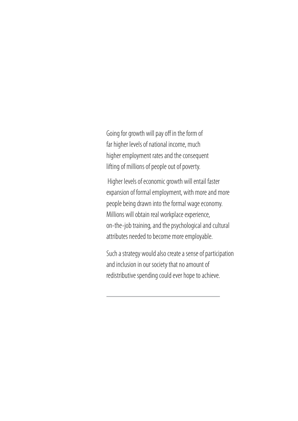Going for growth will pay off in the form of far higher levels of national income, much higher employment rates and the consequent lifting of millions of people out of poverty.

 Higher levels of economic growth will entail faster expansion of formal employment, with more and more people being drawn into the formal wage economy. Millions will obtain real workplace experience, on-the-job training, and the psychological and cultural attributes needed to become more employable.

Such a strategy would also create a sense of participation and inclusion in our society that no amount of redistributive spending could ever hope to achieve.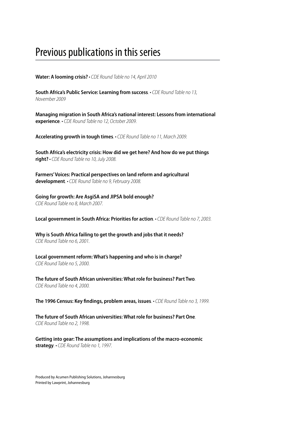# Previous publications in this series

**Water: A looming crisis?** *• CDE Round Table no 14, April 2010*

**South Africa's Public Service: Learning from success***. • CDE Round Table no 13, November 2009*

**Managing migration in South Africa's national interest: Lessons from international experience***. • CDE Round Table no 12, October 2009.*

**Accelerating growth in tough times***. • CDE Round Table no 11, March 2009.*

**South Africa's electricity crisis: How did we get here? And how do we put things right?** *• CDE Round Table no 10, July 2008.*

**Farmers' Voices: Practical perspectives on land reform and agricultural development***. • CDE Round Table no 9, February 2008.*

**Going for growth: Are AsgiSA and JIPSA bold enough?** *CDE Round Table no 8, March 2007.*

**Local government in South Africa: Priorities for action***. • CDE Round Table no 7, 2003.*

**Why is South Africa failing to get the growth and jobs that it needs?** *CDE Round Table no 6, 2001.*

**Local government reform: What's happening and who is in charge?** *CDE Round Table no 5, 2000.*

**The future of South African universities: What role for business? Part Two***. CDE Round Table no 4, 2000.*

**The 1996 Census: Key findings, problem areas, issues***. • CDE Round Table no 3, 1999.*

**The future of South African universities: What role for business? Part One***. CDE Round Table no 2, 1998.*

**Getting into gear: The assumptions and implications of the macro-economic strategy***. • CDE Round Table no 1, 1997.*

Produced by Acumen Publishing Solutions, Johannesburg Printed by Lawprint, Johannesburg